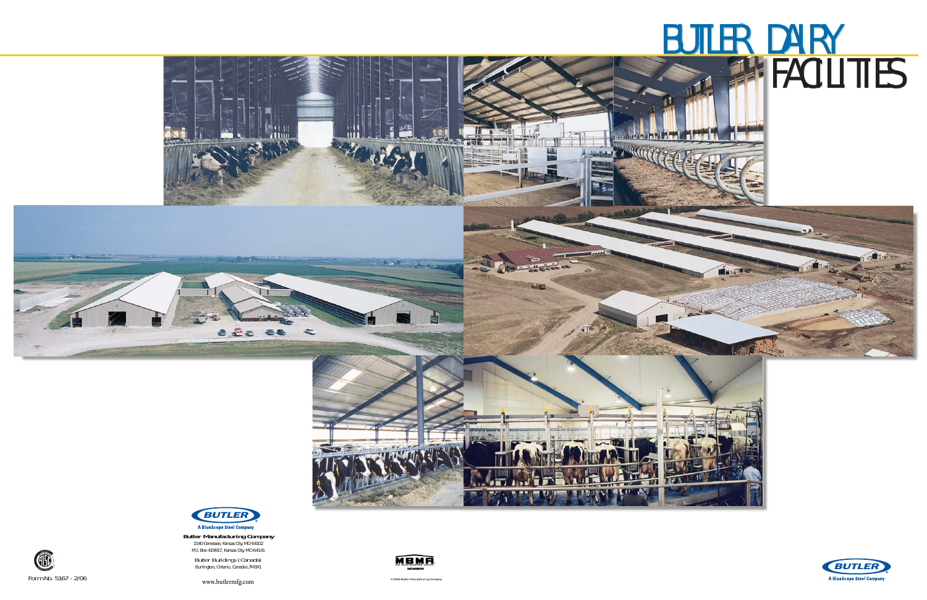

# **BUTLER DAIRY FACILITIES** ®® **BUTLER DAIRY FACILITIES**

. TH

**THE** 







Butler Buildings (Canada) Burlington, Ontario, Canada L7M3X1



**www.butlermfg.com**